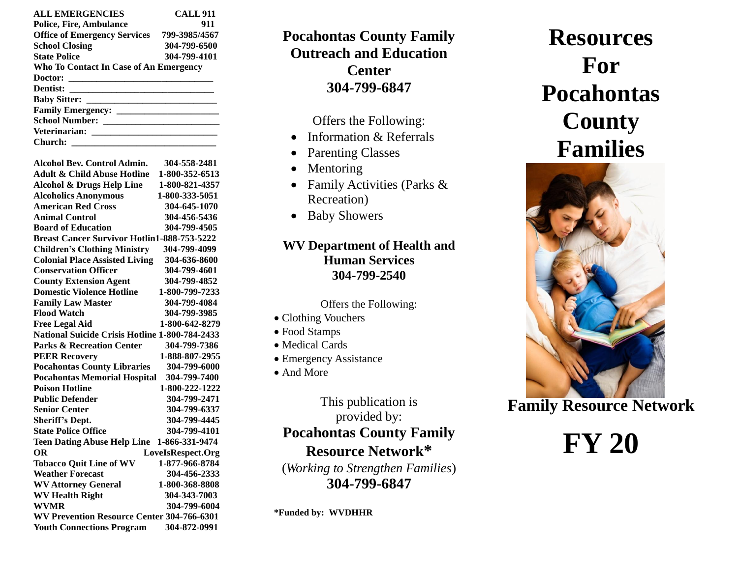| <b>ALL EMERGENCIES</b>                 | <b>CALL 911</b> |  |  |  |  |  |  |  |
|----------------------------------------|-----------------|--|--|--|--|--|--|--|
| <b>Police, Fire, Ambulance</b>         | 911             |  |  |  |  |  |  |  |
| <b>Office of Emergency Services</b>    | 799-3985/4567   |  |  |  |  |  |  |  |
| <b>School Closing</b>                  | 304-799-6500    |  |  |  |  |  |  |  |
| <b>State Police</b>                    | 304-799-4101    |  |  |  |  |  |  |  |
| Who To Contact In Case of An Emergency |                 |  |  |  |  |  |  |  |
|                                        |                 |  |  |  |  |  |  |  |
|                                        |                 |  |  |  |  |  |  |  |
|                                        |                 |  |  |  |  |  |  |  |
|                                        |                 |  |  |  |  |  |  |  |
|                                        |                 |  |  |  |  |  |  |  |
|                                        |                 |  |  |  |  |  |  |  |
| Church:                                |                 |  |  |  |  |  |  |  |

**Alcohol Bev. Control Admin. 304-558-2481**

| Alconol Bev. Control Admin.                        | <u> эч4-ээл-44л1</u> |  |  |  |  |  |  |  |
|----------------------------------------------------|----------------------|--|--|--|--|--|--|--|
| <b>Adult &amp; Child Abuse Hotline</b>             | 1-800-352-6513       |  |  |  |  |  |  |  |
| <b>Alcohol &amp; Drugs Help Line</b>               | 1-800-821-4357       |  |  |  |  |  |  |  |
| <b>Alcoholics Anonymous</b>                        | 1-800-333-5051       |  |  |  |  |  |  |  |
| <b>American Red Cross</b>                          | 304-645-1070         |  |  |  |  |  |  |  |
| <b>Animal Control</b>                              | 304-456-5436         |  |  |  |  |  |  |  |
| <b>Board of Education</b>                          | 304-799-4505         |  |  |  |  |  |  |  |
| <b>Breast Cancer Survivor Hotlin1-888-753-5222</b> |                      |  |  |  |  |  |  |  |
| <b>Children's Clothing Ministry</b>                | 304-799-4099         |  |  |  |  |  |  |  |
| <b>Colonial Place Assisted Living</b>              | 304-636-8600         |  |  |  |  |  |  |  |
| <b>Conservation Officer</b>                        | 304-799-4601         |  |  |  |  |  |  |  |
| <b>County Extension Agent</b>                      | 304-799-4852         |  |  |  |  |  |  |  |
| <b>Domestic Violence Hotline</b>                   | 1-800-799-7233       |  |  |  |  |  |  |  |
| <b>Family Law Master</b>                           | 304-799-4084         |  |  |  |  |  |  |  |
| <b>Flood Watch</b>                                 | 304-799-3985         |  |  |  |  |  |  |  |
| <b>Free Legal Aid</b>                              | 1-800-642-8279       |  |  |  |  |  |  |  |
| National Suicide Crisis Hotline 1-800-784-2433     |                      |  |  |  |  |  |  |  |
| <b>Parks &amp; Recreation Center</b>               | 304-799-7386         |  |  |  |  |  |  |  |
| <b>PEER Recovery</b>                               | 1-888-807-2955       |  |  |  |  |  |  |  |
| <b>Pocahontas County Libraries</b>                 | 304-799-6000         |  |  |  |  |  |  |  |
| <b>Pocahontas Memorial Hospital</b>                | 304-799-7400         |  |  |  |  |  |  |  |
| <b>Poison Hotline</b>                              | 1-800-222-1222       |  |  |  |  |  |  |  |
| <b>Public Defender</b>                             | 304-799-2471         |  |  |  |  |  |  |  |
| <b>Senior Center</b>                               | 304-799-6337         |  |  |  |  |  |  |  |
| <b>Sheriff's Dept.</b>                             | 304-799-4445         |  |  |  |  |  |  |  |
| <b>State Police Office</b>                         | 304-799-4101         |  |  |  |  |  |  |  |
| <b>Teen Dating Abuse Help Line</b>                 | 1-866-331-9474       |  |  |  |  |  |  |  |
| <b>OR</b>                                          | LoveIsRespect.Org    |  |  |  |  |  |  |  |
| <b>Tobacco Ouit Line of WV</b>                     | 1-877-966-8784       |  |  |  |  |  |  |  |
| <b>Weather Forecast</b>                            | 304-456-2333         |  |  |  |  |  |  |  |
| <b>WV Attorney General</b>                         | 1-800-368-8808       |  |  |  |  |  |  |  |
| <b>WV Health Right</b>                             | 304-343-7003         |  |  |  |  |  |  |  |
| <b>WVMR</b>                                        | 304-799-6004         |  |  |  |  |  |  |  |
| <b>WV Prevention Resource Center 304-766-6301</b>  |                      |  |  |  |  |  |  |  |
| <b>Youth Connections Program</b>                   | 304-872-0991         |  |  |  |  |  |  |  |

**Pocahontas County Family Outreach and Education Center 304-799-6847**

Offers the Following:

- Information & Referrals
- Parenting Classes
- Mentoring
- Family Activities (Parks & Recreation)
- Baby Showers

### **WV Department of Health and Human Services 304-799-2540**

#### Offers the Following:

- Clothing Vouchers
- Food Stamps
- Medical Cards
- Emergency Assistance
- And More

## This publication is provided by: **Pocahontas County Family Resource Network\*** (*Working to Strengthen Families*)

**304-799-6847**

**\*Funded by: WVDHHR**

# **Resources For Pocahontas County Families**



**Family Resource Network**

# **FY 20**